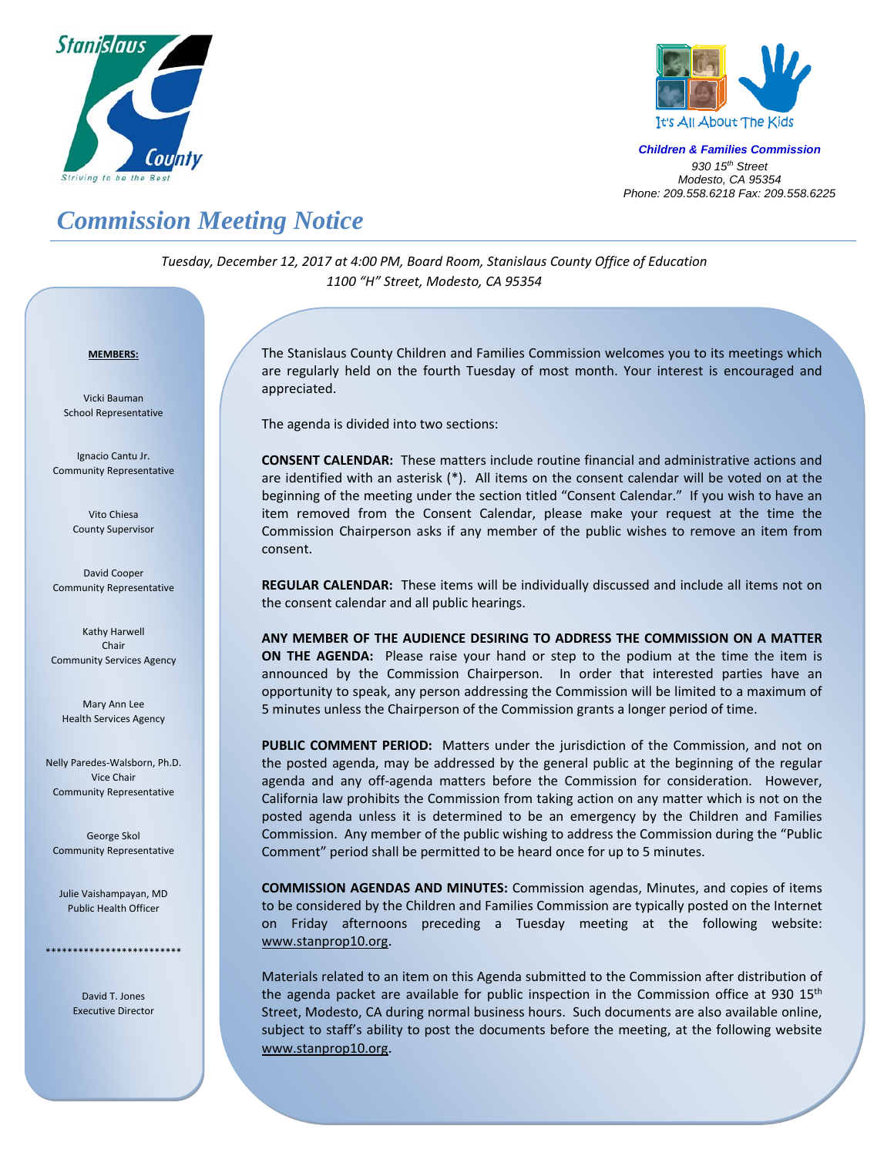



*Children & Families Commission 930 15th Street Modesto, CA 95354 Phone: 209.558.6218 Fax: 209.558.6225*

## *Commission Meeting Notice*

*Tuesday, December 12, 2017 at 4:00 PM, Board Room, Stanislaus County Office of Education 1100 "H" Street, Modesto, CA 95354*

## <sup>U</sup>**MEMBERS:**

Vicki Bauman School Representative

Ignacio Cantu Jr. Community Representative

> Vito Chiesa County Supervisor

David Cooper Community Representative

Kathy Harwell Chair Community Services Agency

Mary Ann Lee Health Services Agency

Nelly Paredes‐Walsborn, Ph.D. Vice Chair Community Representative

George Skol Community Representative

Julie Vaishampayan, MD Public Health Officer

\*\*\*\*\*\*\*\*\*\*\*\*\*\*\*\*\*\*\*\*\*\*\*\*\*

David T. Jones Executive Director

 $\overline{a}$ 

The Stanislaus County Children and Families Commission welcomes you to its meetings which are regularly held on the fourth Tuesday of most month. Your interest is encouraged and appreciated.

The agenda is divided into two sections:

**CONSENT CALENDAR:** These matters include routine financial and administrative actions and are identified with an asterisk (\*). All items on the consent calendar will be voted on at the beginning of the meeting under the section titled "Consent Calendar." If you wish to have an item removed from the Consent Calendar, please make your request at the time the Commission Chairperson asks if any member of the public wishes to remove an item from consent.

**REGULAR CALENDAR:** These items will be individually discussed and include all items not on the consent calendar and all public hearings.

**ANY MEMBER OF THE AUDIENCE DESIRING TO ADDRESS THE COMMISSION ON A MATTER ON THE AGENDA:** Please raise your hand or step to the podium at the time the item is announced by the Commission Chairperson. In order that interested parties have an opportunity to speak, any person addressing the Commission will be limited to a maximum of 5 minutes unless the Chairperson of the Commission grants a longer period of time.

PUBLIC COMMENT PERIOD: Matters under the jurisdiction of the Commission, and not on the posted agenda, may be addressed by the general public at the beginning of the regular agenda and any off-agenda matters before the Commission for consideration. However, California law prohibits the Commission from taking action on any matter which is not on the posted agenda unless it is determined to be an emergency by the Children and Families Commission. Any member of the public wishing to address the Commission during the "Public Comment" period shall be permitted to be heard once for up to 5 minutes.

**COMMISSION AGENDAS AND MINUTES:** Commission agendas, Minutes, and copies of items to be considered by the Children and Families Commission are typically posted on the Internet on Friday afternoons preceding a Tuesday meeting at the following website: www.stanprop10.org.

Materials related to an item on this Agenda submitted to the Commission after distribution of the agenda packet are available for public inspection in the Commission office at 930  $15<sup>th</sup>$ Street, Modesto, CA during normal business hours. Such documents are also available online, subject to staff's ability to post the documents before the meeting, at the following website www.stanprop10.org.